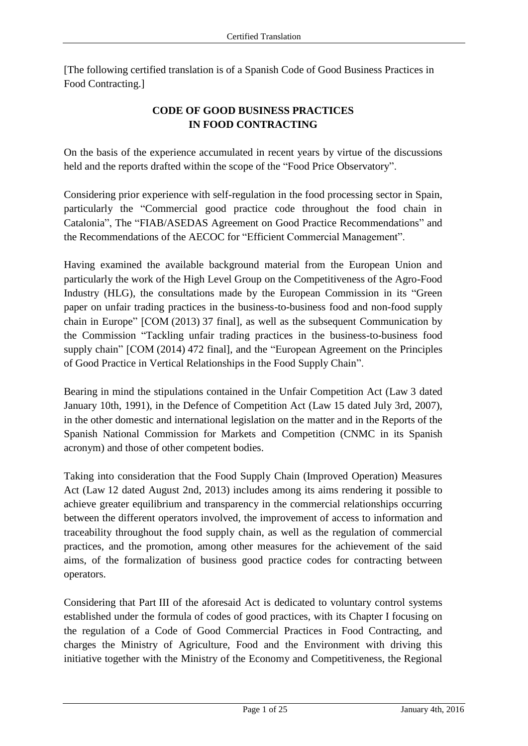[The following certified translation is of a Spanish Code of Good Business Practices in Food Contracting.]

# **CODE OF GOOD BUSINESS PRACTICES IN FOOD CONTRACTING**

On the basis of the experience accumulated in recent years by virtue of the discussions held and the reports drafted within the scope of the "Food Price Observatory".

Considering prior experience with self-regulation in the food processing sector in Spain, particularly the "Commercial good practice code throughout the food chain in Catalonia", The "FIAB/ASEDAS Agreement on Good Practice Recommendations" and the Recommendations of the AECOC for "Efficient Commercial Management".

Having examined the available background material from the European Union and particularly the work of the High Level Group on the Competitiveness of the Agro-Food Industry (HLG), the consultations made by the European Commission in its "Green paper on unfair trading practices in the business-to-business food and non-food supply chain in Europe" [COM (2013) 37 final], as well as the subsequent Communication by the Commission "Tackling unfair trading practices in the business-to-business food supply chain" [COM (2014) 472 final], and the "European Agreement on the Principles of Good Practice in Vertical Relationships in the Food Supply Chain".

Bearing in mind the stipulations contained in the Unfair Competition Act (Law 3 dated January 10th, 1991), in the Defence of Competition Act (Law 15 dated July 3rd, 2007), in the other domestic and international legislation on the matter and in the Reports of the Spanish National Commission for Markets and Competition (CNMC in its Spanish acronym) and those of other competent bodies.

Taking into consideration that the Food Supply Chain (Improved Operation) Measures Act (Law 12 dated August 2nd, 2013) includes among its aims rendering it possible to achieve greater equilibrium and transparency in the commercial relationships occurring between the different operators involved, the improvement of access to information and traceability throughout the food supply chain, as well as the regulation of commercial practices, and the promotion, among other measures for the achievement of the said aims, of the formalization of business good practice codes for contracting between operators.

Considering that Part III of the aforesaid Act is dedicated to voluntary control systems established under the formula of codes of good practices, with its Chapter I focusing on the regulation of a Code of Good Commercial Practices in Food Contracting, and charges the Ministry of Agriculture, Food and the Environment with driving this initiative together with the Ministry of the Economy and Competitiveness, the Regional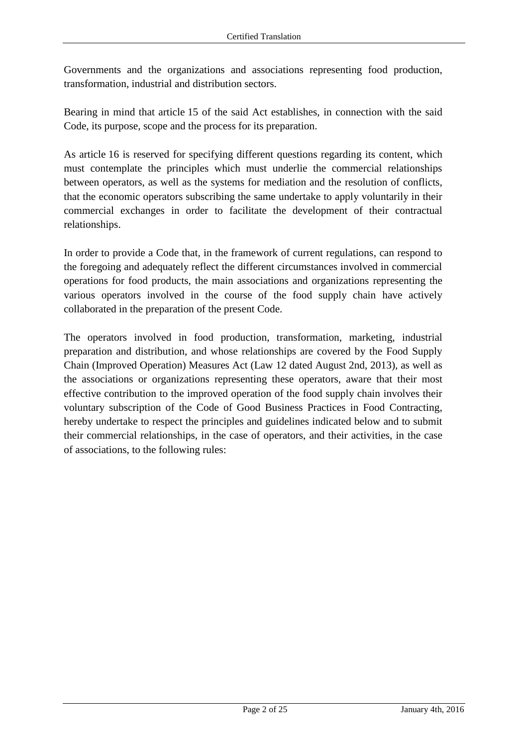Governments and the organizations and associations representing food production, transformation, industrial and distribution sectors.

Bearing in mind that article 15 of the said Act establishes, in connection with the said Code, its purpose, scope and the process for its preparation.

As article 16 is reserved for specifying different questions regarding its content, which must contemplate the principles which must underlie the commercial relationships between operators, as well as the systems for mediation and the resolution of conflicts, that the economic operators subscribing the same undertake to apply voluntarily in their commercial exchanges in order to facilitate the development of their contractual relationships.

In order to provide a Code that, in the framework of current regulations, can respond to the foregoing and adequately reflect the different circumstances involved in commercial operations for food products, the main associations and organizations representing the various operators involved in the course of the food supply chain have actively collaborated in the preparation of the present Code.

The operators involved in food production, transformation, marketing, industrial preparation and distribution, and whose relationships are covered by the Food Supply Chain (Improved Operation) Measures Act (Law 12 dated August 2nd, 2013), as well as the associations or organizations representing these operators, aware that their most effective contribution to the improved operation of the food supply chain involves their voluntary subscription of the Code of Good Business Practices in Food Contracting, hereby undertake to respect the principles and guidelines indicated below and to submit their commercial relationships, in the case of operators, and their activities, in the case of associations, to the following rules: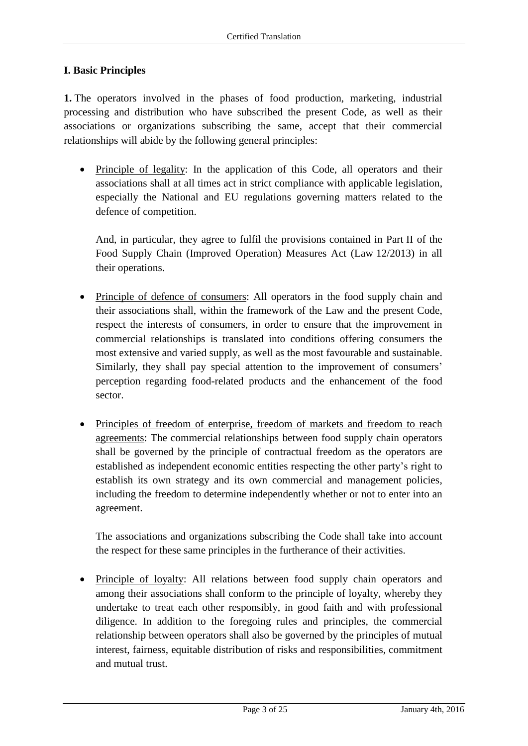### **I. Basic Principles**

**1.** The operators involved in the phases of food production, marketing, industrial processing and distribution who have subscribed the present Code, as well as their associations or organizations subscribing the same, accept that their commercial relationships will abide by the following general principles:

• Principle of legality: In the application of this Code, all operators and their associations shall at all times act in strict compliance with applicable legislation, especially the National and EU regulations governing matters related to the defence of competition.

And, in particular, they agree to fulfil the provisions contained in Part II of the Food Supply Chain (Improved Operation) Measures Act (Law 12/2013) in all their operations.

- Principle of defence of consumers: All operators in the food supply chain and their associations shall, within the framework of the Law and the present Code, respect the interests of consumers, in order to ensure that the improvement in commercial relationships is translated into conditions offering consumers the most extensive and varied supply, as well as the most favourable and sustainable. Similarly, they shall pay special attention to the improvement of consumers' perception regarding food-related products and the enhancement of the food sector.
- Principles of freedom of enterprise, freedom of markets and freedom to reach agreements: The commercial relationships between food supply chain operators shall be governed by the principle of contractual freedom as the operators are established as independent economic entities respecting the other party's right to establish its own strategy and its own commercial and management policies, including the freedom to determine independently whether or not to enter into an agreement.

The associations and organizations subscribing the Code shall take into account the respect for these same principles in the furtherance of their activities.

 Principle of loyalty: All relations between food supply chain operators and among their associations shall conform to the principle of loyalty, whereby they undertake to treat each other responsibly, in good faith and with professional diligence. In addition to the foregoing rules and principles, the commercial relationship between operators shall also be governed by the principles of mutual interest, fairness, equitable distribution of risks and responsibilities, commitment and mutual trust.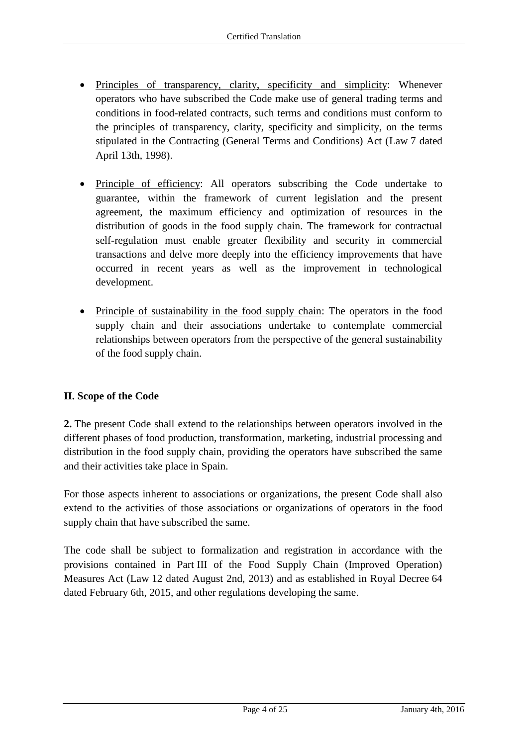- Principles of transparency, clarity, specificity and simplicity: Whenever operators who have subscribed the Code make use of general trading terms and conditions in food-related contracts, such terms and conditions must conform to the principles of transparency, clarity, specificity and simplicity, on the terms stipulated in the Contracting (General Terms and Conditions) Act (Law 7 dated April 13th, 1998).
- Principle of efficiency: All operators subscribing the Code undertake to guarantee, within the framework of current legislation and the present agreement, the maximum efficiency and optimization of resources in the distribution of goods in the food supply chain. The framework for contractual self-regulation must enable greater flexibility and security in commercial transactions and delve more deeply into the efficiency improvements that have occurred in recent years as well as the improvement in technological development.
- Principle of sustainability in the food supply chain: The operators in the food supply chain and their associations undertake to contemplate commercial relationships between operators from the perspective of the general sustainability of the food supply chain.

# **II. Scope of the Code**

**2.** The present Code shall extend to the relationships between operators involved in the different phases of food production, transformation, marketing, industrial processing and distribution in the food supply chain, providing the operators have subscribed the same and their activities take place in Spain.

For those aspects inherent to associations or organizations, the present Code shall also extend to the activities of those associations or organizations of operators in the food supply chain that have subscribed the same.

The code shall be subject to formalization and registration in accordance with the provisions contained in Part III of the Food Supply Chain (Improved Operation) Measures Act (Law 12 dated August 2nd, 2013) and as established in Royal Decree 64 dated February 6th, 2015, and other regulations developing the same.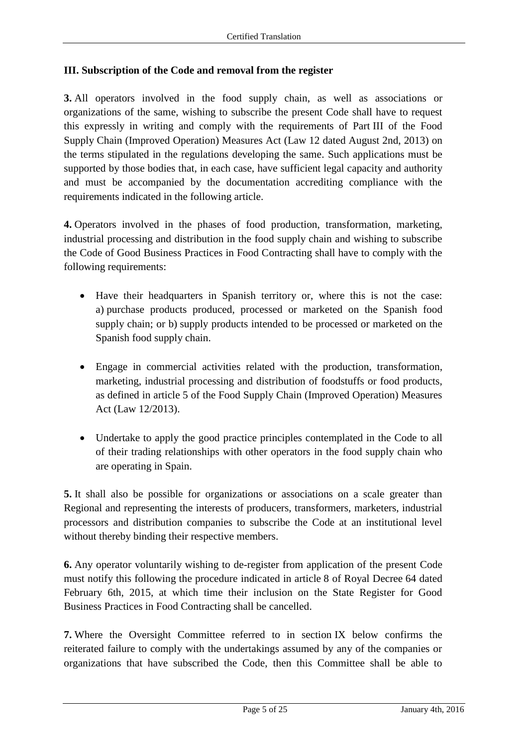### **III. Subscription of the Code and removal from the register**

**3.** All operators involved in the food supply chain, as well as associations or organizations of the same, wishing to subscribe the present Code shall have to request this expressly in writing and comply with the requirements of Part III of the Food Supply Chain (Improved Operation) Measures Act (Law 12 dated August 2nd, 2013) on the terms stipulated in the regulations developing the same. Such applications must be supported by those bodies that, in each case, have sufficient legal capacity and authority and must be accompanied by the documentation accrediting compliance with the requirements indicated in the following article.

**4.** Operators involved in the phases of food production, transformation, marketing, industrial processing and distribution in the food supply chain and wishing to subscribe the Code of Good Business Practices in Food Contracting shall have to comply with the following requirements:

- Have their headquarters in Spanish territory or, where this is not the case: a) purchase products produced, processed or marketed on the Spanish food supply chain; or b) supply products intended to be processed or marketed on the Spanish food supply chain.
- Engage in commercial activities related with the production, transformation, marketing, industrial processing and distribution of foodstuffs or food products, as defined in article 5 of the Food Supply Chain (Improved Operation) Measures Act (Law 12/2013).
- Undertake to apply the good practice principles contemplated in the Code to all of their trading relationships with other operators in the food supply chain who are operating in Spain.

**5.** It shall also be possible for organizations or associations on a scale greater than Regional and representing the interests of producers, transformers, marketers, industrial processors and distribution companies to subscribe the Code at an institutional level without thereby binding their respective members.

**6.** Any operator voluntarily wishing to de-register from application of the present Code must notify this following the procedure indicated in article 8 of Royal Decree 64 dated February 6th, 2015, at which time their inclusion on the State Register for Good Business Practices in Food Contracting shall be cancelled.

**7.** Where the Oversight Committee referred to in section IX below confirms the reiterated failure to comply with the undertakings assumed by any of the companies or organizations that have subscribed the Code, then this Committee shall be able to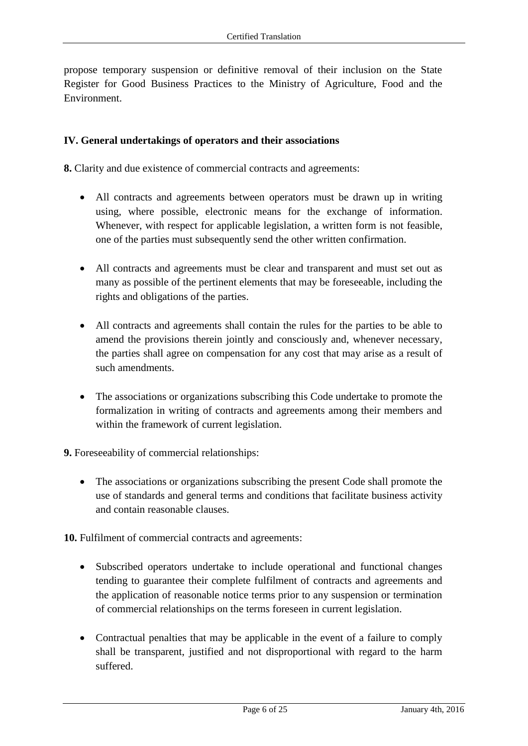propose temporary suspension or definitive removal of their inclusion on the State Register for Good Business Practices to the Ministry of Agriculture, Food and the Environment.

### **IV. General undertakings of operators and their associations**

**8.** Clarity and due existence of commercial contracts and agreements:

- All contracts and agreements between operators must be drawn up in writing using, where possible, electronic means for the exchange of information. Whenever, with respect for applicable legislation, a written form is not feasible, one of the parties must subsequently send the other written confirmation.
- All contracts and agreements must be clear and transparent and must set out as many as possible of the pertinent elements that may be foreseeable, including the rights and obligations of the parties.
- All contracts and agreements shall contain the rules for the parties to be able to amend the provisions therein jointly and consciously and, whenever necessary, the parties shall agree on compensation for any cost that may arise as a result of such amendments.
- The associations or organizations subscribing this Code undertake to promote the formalization in writing of contracts and agreements among their members and within the framework of current legislation.

**9.** Foreseeability of commercial relationships:

• The associations or organizations subscribing the present Code shall promote the use of standards and general terms and conditions that facilitate business activity and contain reasonable clauses.

**10.** Fulfilment of commercial contracts and agreements:

- Subscribed operators undertake to include operational and functional changes tending to guarantee their complete fulfilment of contracts and agreements and the application of reasonable notice terms prior to any suspension or termination of commercial relationships on the terms foreseen in current legislation.
- Contractual penalties that may be applicable in the event of a failure to comply shall be transparent, justified and not disproportional with regard to the harm suffered.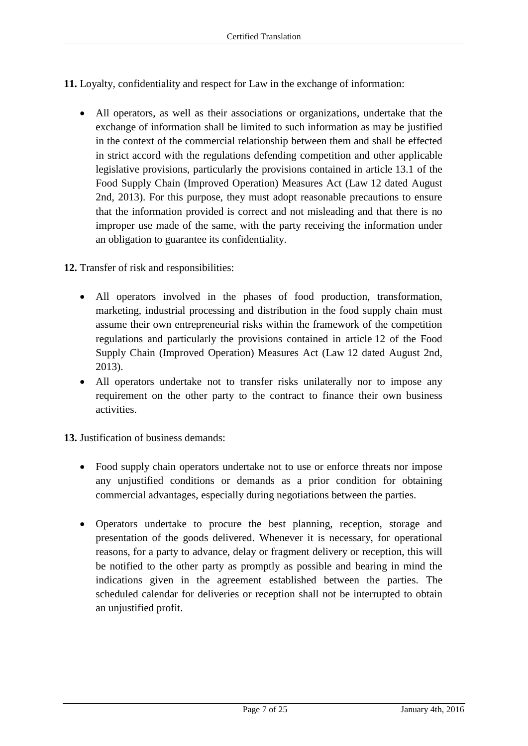**11.** Loyalty, confidentiality and respect for Law in the exchange of information:

- All operators, as well as their associations or organizations, undertake that the exchange of information shall be limited to such information as may be justified in the context of the commercial relationship between them and shall be effected in strict accord with the regulations defending competition and other applicable legislative provisions, particularly the provisions contained in article 13.1 of the Food Supply Chain (Improved Operation) Measures Act (Law 12 dated August 2nd, 2013). For this purpose, they must adopt reasonable precautions to ensure that the information provided is correct and not misleading and that there is no improper use made of the same, with the party receiving the information under an obligation to guarantee its confidentiality.
- **12.** Transfer of risk and responsibilities:
	- All operators involved in the phases of food production, transformation, marketing, industrial processing and distribution in the food supply chain must assume their own entrepreneurial risks within the framework of the competition regulations and particularly the provisions contained in article 12 of the Food Supply Chain (Improved Operation) Measures Act (Law 12 dated August 2nd, 2013).
	- All operators undertake not to transfer risks unilaterally nor to impose any requirement on the other party to the contract to finance their own business activities.

**13.** Justification of business demands:

- Food supply chain operators undertake not to use or enforce threats nor impose any unjustified conditions or demands as a prior condition for obtaining commercial advantages, especially during negotiations between the parties.
- Operators undertake to procure the best planning, reception, storage and presentation of the goods delivered. Whenever it is necessary, for operational reasons, for a party to advance, delay or fragment delivery or reception, this will be notified to the other party as promptly as possible and bearing in mind the indications given in the agreement established between the parties. The scheduled calendar for deliveries or reception shall not be interrupted to obtain an unjustified profit.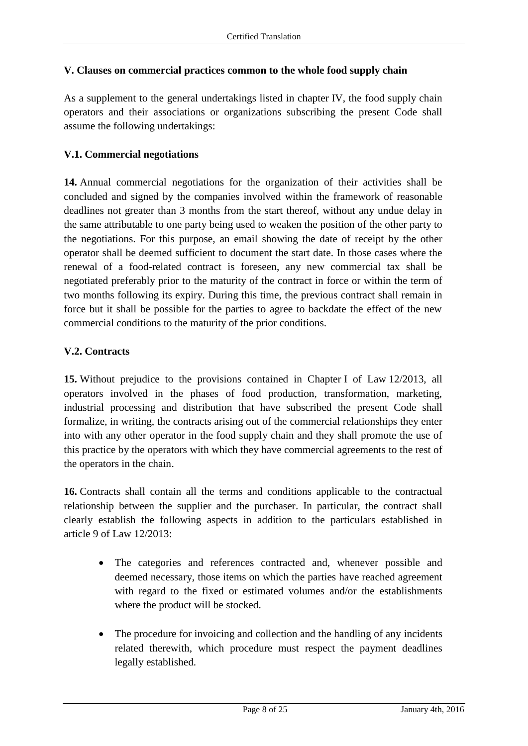### **V. Clauses on commercial practices common to the whole food supply chain**

As a supplement to the general undertakings listed in chapter IV, the food supply chain operators and their associations or organizations subscribing the present Code shall assume the following undertakings:

### **V.1. Commercial negotiations**

**14.** Annual commercial negotiations for the organization of their activities shall be concluded and signed by the companies involved within the framework of reasonable deadlines not greater than 3 months from the start thereof, without any undue delay in the same attributable to one party being used to weaken the position of the other party to the negotiations. For this purpose, an email showing the date of receipt by the other operator shall be deemed sufficient to document the start date. In those cases where the renewal of a food-related contract is foreseen, any new commercial tax shall be negotiated preferably prior to the maturity of the contract in force or within the term of two months following its expiry. During this time, the previous contract shall remain in force but it shall be possible for the parties to agree to backdate the effect of the new commercial conditions to the maturity of the prior conditions.

### **V.2. Contracts**

**15.** Without prejudice to the provisions contained in Chapter I of Law 12/2013, all operators involved in the phases of food production, transformation, marketing, industrial processing and distribution that have subscribed the present Code shall formalize, in writing, the contracts arising out of the commercial relationships they enter into with any other operator in the food supply chain and they shall promote the use of this practice by the operators with which they have commercial agreements to the rest of the operators in the chain.

**16.** Contracts shall contain all the terms and conditions applicable to the contractual relationship between the supplier and the purchaser. In particular, the contract shall clearly establish the following aspects in addition to the particulars established in article 9 of Law 12/2013:

- The categories and references contracted and, whenever possible and deemed necessary, those items on which the parties have reached agreement with regard to the fixed or estimated volumes and/or the establishments where the product will be stocked.
- The procedure for invoicing and collection and the handling of any incidents related therewith, which procedure must respect the payment deadlines legally established.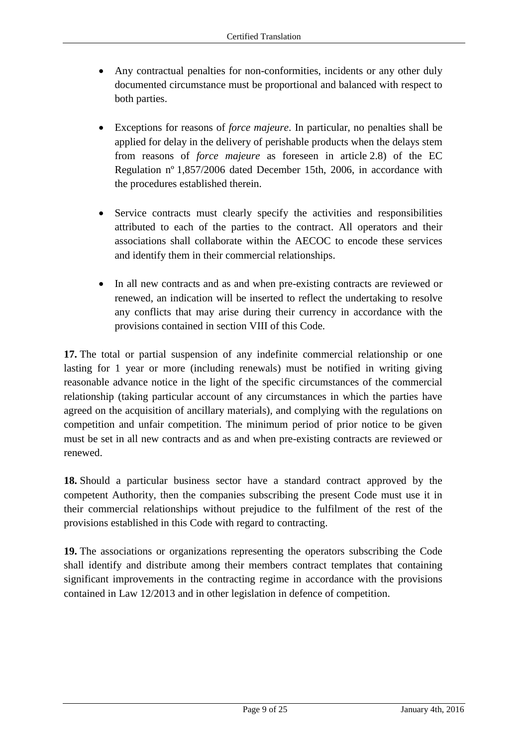- Any contractual penalties for non-conformities, incidents or any other duly documented circumstance must be proportional and balanced with respect to both parties.
- Exceptions for reasons of *force majeure*. In particular, no penalties shall be applied for delay in the delivery of perishable products when the delays stem from reasons of *force majeure* as foreseen in article 2.8) of the EC Regulation nº 1,857/2006 dated December 15th, 2006, in accordance with the procedures established therein.
- Service contracts must clearly specify the activities and responsibilities attributed to each of the parties to the contract. All operators and their associations shall collaborate within the AECOC to encode these services and identify them in their commercial relationships.
- In all new contracts and as and when pre-existing contracts are reviewed or renewed, an indication will be inserted to reflect the undertaking to resolve any conflicts that may arise during their currency in accordance with the provisions contained in section VIII of this Code.

**17.** The total or partial suspension of any indefinite commercial relationship or one lasting for 1 year or more (including renewals) must be notified in writing giving reasonable advance notice in the light of the specific circumstances of the commercial relationship (taking particular account of any circumstances in which the parties have agreed on the acquisition of ancillary materials), and complying with the regulations on competition and unfair competition. The minimum period of prior notice to be given must be set in all new contracts and as and when pre-existing contracts are reviewed or renewed.

**18.** Should a particular business sector have a standard contract approved by the competent Authority, then the companies subscribing the present Code must use it in their commercial relationships without prejudice to the fulfilment of the rest of the provisions established in this Code with regard to contracting.

**19.** The associations or organizations representing the operators subscribing the Code shall identify and distribute among their members contract templates that containing significant improvements in the contracting regime in accordance with the provisions contained in Law 12/2013 and in other legislation in defence of competition.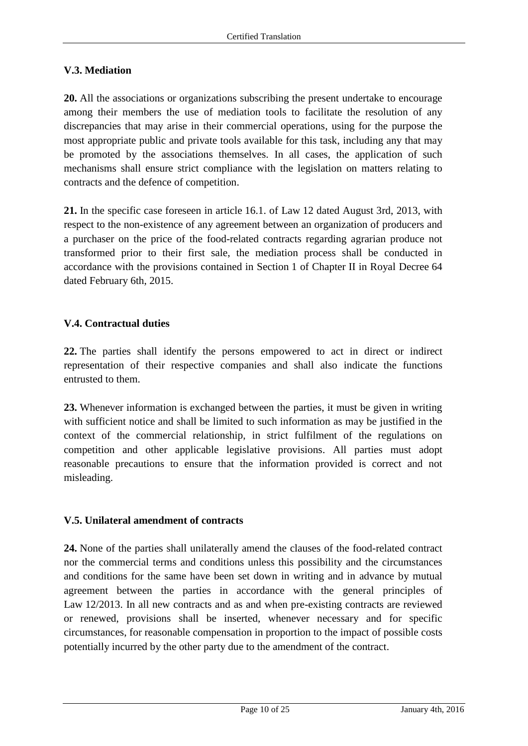### **V.3. Mediation**

**20.** All the associations or organizations subscribing the present undertake to encourage among their members the use of mediation tools to facilitate the resolution of any discrepancies that may arise in their commercial operations, using for the purpose the most appropriate public and private tools available for this task, including any that may be promoted by the associations themselves. In all cases, the application of such mechanisms shall ensure strict compliance with the legislation on matters relating to contracts and the defence of competition.

**21.** In the specific case foreseen in article 16.1. of Law 12 dated August 3rd, 2013, with respect to the non-existence of any agreement between an organization of producers and a purchaser on the price of the food-related contracts regarding agrarian produce not transformed prior to their first sale, the mediation process shall be conducted in accordance with the provisions contained in Section 1 of Chapter II in Royal Decree 64 dated February 6th, 2015.

### **V.4. Contractual duties**

**22.** The parties shall identify the persons empowered to act in direct or indirect representation of their respective companies and shall also indicate the functions entrusted to them.

**23.** Whenever information is exchanged between the parties, it must be given in writing with sufficient notice and shall be limited to such information as may be justified in the context of the commercial relationship, in strict fulfilment of the regulations on competition and other applicable legislative provisions. All parties must adopt reasonable precautions to ensure that the information provided is correct and not misleading.

### **V.5. Unilateral amendment of contracts**

**24.** None of the parties shall unilaterally amend the clauses of the food-related contract nor the commercial terms and conditions unless this possibility and the circumstances and conditions for the same have been set down in writing and in advance by mutual agreement between the parties in accordance with the general principles of Law 12/2013. In all new contracts and as and when pre-existing contracts are reviewed or renewed, provisions shall be inserted, whenever necessary and for specific circumstances, for reasonable compensation in proportion to the impact of possible costs potentially incurred by the other party due to the amendment of the contract.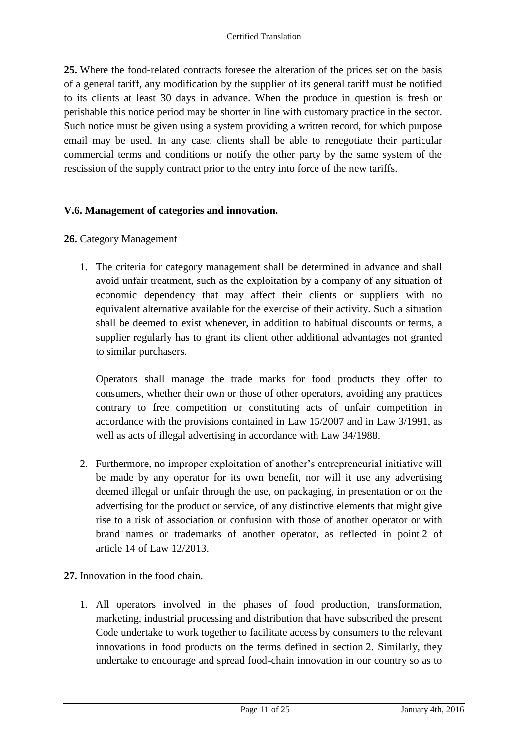**25.** Where the food-related contracts foresee the alteration of the prices set on the basis of a general tariff, any modification by the supplier of its general tariff must be notified to its clients at least 30 days in advance. When the produce in question is fresh or perishable this notice period may be shorter in line with customary practice in the sector. Such notice must be given using a system providing a written record, for which purpose email may be used. In any case, clients shall be able to renegotiate their particular commercial terms and conditions or notify the other party by the same system of the rescission of the supply contract prior to the entry into force of the new tariffs.

### **V.6. Management of categories and innovation.**

### **26.** Category Management

1. The criteria for category management shall be determined in advance and shall avoid unfair treatment, such as the exploitation by a company of any situation of economic dependency that may affect their clients or suppliers with no equivalent alternative available for the exercise of their activity. Such a situation shall be deemed to exist whenever, in addition to habitual discounts or terms, a supplier regularly has to grant its client other additional advantages not granted to similar purchasers.

Operators shall manage the trade marks for food products they offer to consumers, whether their own or those of other operators, avoiding any practices contrary to free competition or constituting acts of unfair competition in accordance with the provisions contained in Law 15/2007 and in Law 3/1991, as well as acts of illegal advertising in accordance with Law 34/1988.

- 2. Furthermore, no improper exploitation of another's entrepreneurial initiative will be made by any operator for its own benefit, nor will it use any advertising deemed illegal or unfair through the use, on packaging, in presentation or on the advertising for the product or service, of any distinctive elements that might give rise to a risk of association or confusion with those of another operator or with brand names or trademarks of another operator, as reflected in point 2 of article 14 of Law 12/2013.
- **27.** Innovation in the food chain.
	- 1. All operators involved in the phases of food production, transformation, marketing, industrial processing and distribution that have subscribed the present Code undertake to work together to facilitate access by consumers to the relevant innovations in food products on the terms defined in section 2. Similarly, they undertake to encourage and spread food-chain innovation in our country so as to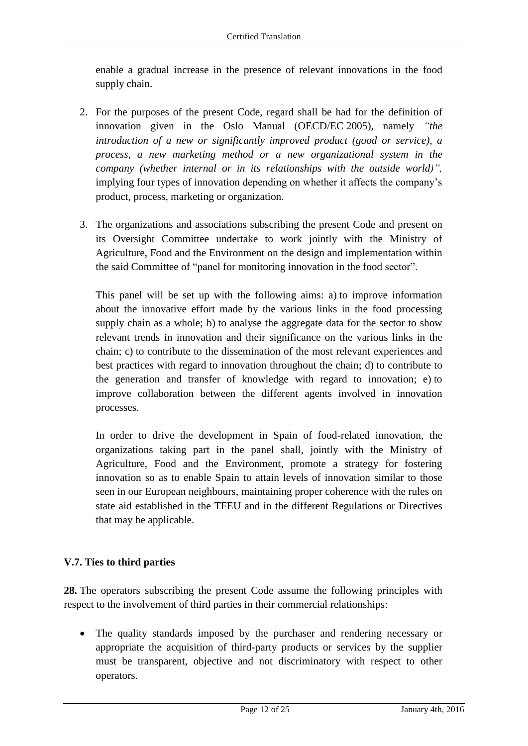enable a gradual increase in the presence of relevant innovations in the food supply chain.

- 2. For the purposes of the present Code, regard shall be had for the definition of innovation given in the Oslo Manual (OECD/EC 2005), namely *"the introduction of a new or significantly improved product (good or service), a process, a new marketing method or a new organizational system in the company (whether internal or in its relationships with the outside world)",*  implying four types of innovation depending on whether it affects the company's product, process, marketing or organization.
- 3. The organizations and associations subscribing the present Code and present on its Oversight Committee undertake to work jointly with the Ministry of Agriculture, Food and the Environment on the design and implementation within the said Committee of "panel for monitoring innovation in the food sector".

This panel will be set up with the following aims: a) to improve information about the innovative effort made by the various links in the food processing supply chain as a whole; b) to analyse the aggregate data for the sector to show relevant trends in innovation and their significance on the various links in the chain; c) to contribute to the dissemination of the most relevant experiences and best practices with regard to innovation throughout the chain; d) to contribute to the generation and transfer of knowledge with regard to innovation; e) to improve collaboration between the different agents involved in innovation processes.

In order to drive the development in Spain of food-related innovation, the organizations taking part in the panel shall, jointly with the Ministry of Agriculture, Food and the Environment, promote a strategy for fostering innovation so as to enable Spain to attain levels of innovation similar to those seen in our European neighbours, maintaining proper coherence with the rules on state aid established in the TFEU and in the different Regulations or Directives that may be applicable.

# **V.7. Ties to third parties**

**28.** The operators subscribing the present Code assume the following principles with respect to the involvement of third parties in their commercial relationships:

 The quality standards imposed by the purchaser and rendering necessary or appropriate the acquisition of third-party products or services by the supplier must be transparent, objective and not discriminatory with respect to other operators.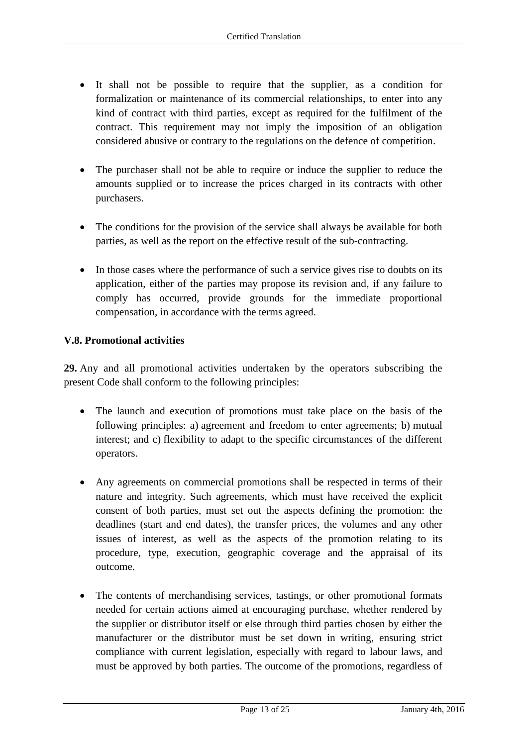- It shall not be possible to require that the supplier, as a condition for formalization or maintenance of its commercial relationships, to enter into any kind of contract with third parties, except as required for the fulfilment of the contract. This requirement may not imply the imposition of an obligation considered abusive or contrary to the regulations on the defence of competition.
- The purchaser shall not be able to require or induce the supplier to reduce the amounts supplied or to increase the prices charged in its contracts with other purchasers.
- The conditions for the provision of the service shall always be available for both parties, as well as the report on the effective result of the sub-contracting.
- In those cases where the performance of such a service gives rise to doubts on its application, either of the parties may propose its revision and, if any failure to comply has occurred, provide grounds for the immediate proportional compensation, in accordance with the terms agreed.

### **V.8. Promotional activities**

**29.** Any and all promotional activities undertaken by the operators subscribing the present Code shall conform to the following principles:

- The launch and execution of promotions must take place on the basis of the following principles: a) agreement and freedom to enter agreements; b) mutual interest; and c) flexibility to adapt to the specific circumstances of the different operators.
- Any agreements on commercial promotions shall be respected in terms of their nature and integrity. Such agreements, which must have received the explicit consent of both parties, must set out the aspects defining the promotion: the deadlines (start and end dates), the transfer prices, the volumes and any other issues of interest, as well as the aspects of the promotion relating to its procedure, type, execution, geographic coverage and the appraisal of its outcome.
- The contents of merchandising services, tastings, or other promotional formats needed for certain actions aimed at encouraging purchase, whether rendered by the supplier or distributor itself or else through third parties chosen by either the manufacturer or the distributor must be set down in writing, ensuring strict compliance with current legislation, especially with regard to labour laws, and must be approved by both parties. The outcome of the promotions, regardless of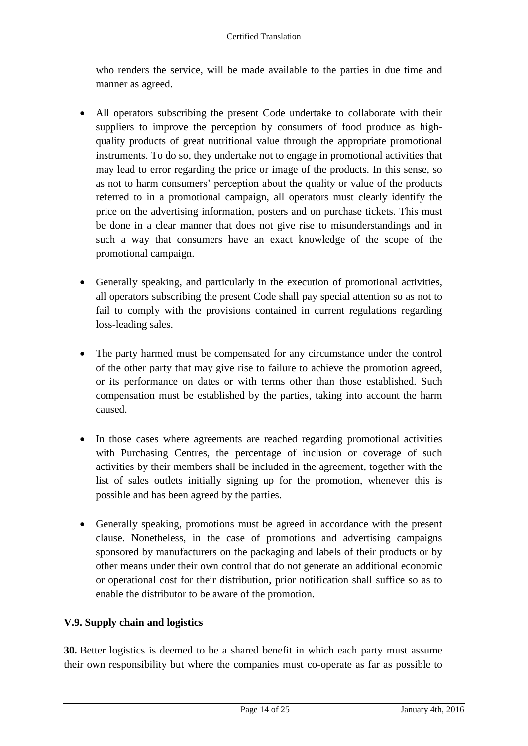who renders the service, will be made available to the parties in due time and manner as agreed.

- All operators subscribing the present Code undertake to collaborate with their suppliers to improve the perception by consumers of food produce as highquality products of great nutritional value through the appropriate promotional instruments. To do so, they undertake not to engage in promotional activities that may lead to error regarding the price or image of the products. In this sense, so as not to harm consumers' perception about the quality or value of the products referred to in a promotional campaign, all operators must clearly identify the price on the advertising information, posters and on purchase tickets. This must be done in a clear manner that does not give rise to misunderstandings and in such a way that consumers have an exact knowledge of the scope of the promotional campaign.
- Generally speaking, and particularly in the execution of promotional activities, all operators subscribing the present Code shall pay special attention so as not to fail to comply with the provisions contained in current regulations regarding loss-leading sales.
- The party harmed must be compensated for any circumstance under the control of the other party that may give rise to failure to achieve the promotion agreed, or its performance on dates or with terms other than those established. Such compensation must be established by the parties, taking into account the harm caused.
- In those cases where agreements are reached regarding promotional activities with Purchasing Centres, the percentage of inclusion or coverage of such activities by their members shall be included in the agreement, together with the list of sales outlets initially signing up for the promotion, whenever this is possible and has been agreed by the parties.
- Generally speaking, promotions must be agreed in accordance with the present clause. Nonetheless, in the case of promotions and advertising campaigns sponsored by manufacturers on the packaging and labels of their products or by other means under their own control that do not generate an additional economic or operational cost for their distribution, prior notification shall suffice so as to enable the distributor to be aware of the promotion.

# **V.9. Supply chain and logistics**

**30.** Better logistics is deemed to be a shared benefit in which each party must assume their own responsibility but where the companies must co-operate as far as possible to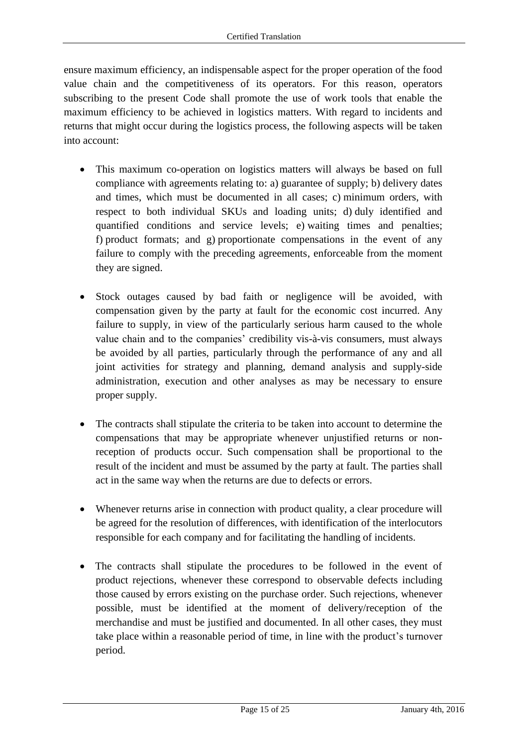ensure maximum efficiency, an indispensable aspect for the proper operation of the food value chain and the competitiveness of its operators. For this reason, operators subscribing to the present Code shall promote the use of work tools that enable the maximum efficiency to be achieved in logistics matters. With regard to incidents and returns that might occur during the logistics process, the following aspects will be taken into account:

- This maximum co-operation on logistics matters will always be based on full compliance with agreements relating to: a) guarantee of supply; b) delivery dates and times, which must be documented in all cases; c) minimum orders, with respect to both individual SKUs and loading units; d) duly identified and quantified conditions and service levels; e) waiting times and penalties; f) product formats; and g) proportionate compensations in the event of any failure to comply with the preceding agreements, enforceable from the moment they are signed.
- Stock outages caused by bad faith or negligence will be avoided, with compensation given by the party at fault for the economic cost incurred. Any failure to supply, in view of the particularly serious harm caused to the whole value chain and to the companies' credibility vis-à-vis consumers, must always be avoided by all parties, particularly through the performance of any and all joint activities for strategy and planning, demand analysis and supply-side administration, execution and other analyses as may be necessary to ensure proper supply.
- The contracts shall stipulate the criteria to be taken into account to determine the compensations that may be appropriate whenever unjustified returns or nonreception of products occur. Such compensation shall be proportional to the result of the incident and must be assumed by the party at fault. The parties shall act in the same way when the returns are due to defects or errors.
- Whenever returns arise in connection with product quality, a clear procedure will be agreed for the resolution of differences, with identification of the interlocutors responsible for each company and for facilitating the handling of incidents.
- The contracts shall stipulate the procedures to be followed in the event of product rejections, whenever these correspond to observable defects including those caused by errors existing on the purchase order. Such rejections, whenever possible, must be identified at the moment of delivery/reception of the merchandise and must be justified and documented. In all other cases, they must take place within a reasonable period of time, in line with the product's turnover period.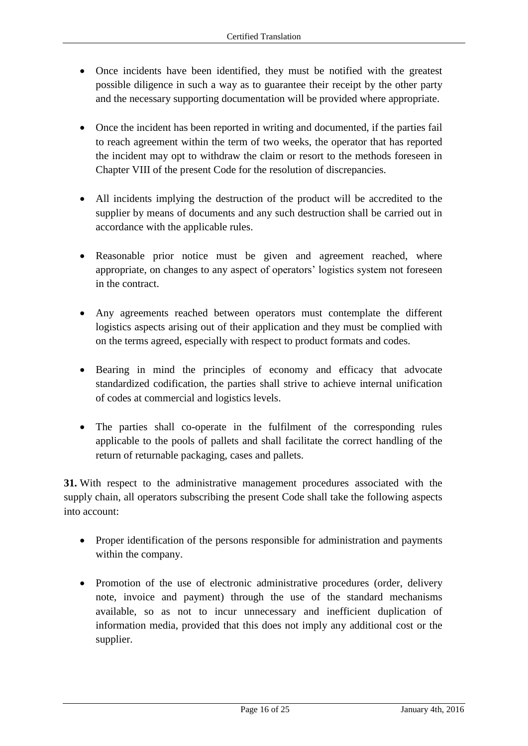- Once incidents have been identified, they must be notified with the greatest possible diligence in such a way as to guarantee their receipt by the other party and the necessary supporting documentation will be provided where appropriate.
- Once the incident has been reported in writing and documented, if the parties fail to reach agreement within the term of two weeks, the operator that has reported the incident may opt to withdraw the claim or resort to the methods foreseen in Chapter VIII of the present Code for the resolution of discrepancies.
- All incidents implying the destruction of the product will be accredited to the supplier by means of documents and any such destruction shall be carried out in accordance with the applicable rules.
- Reasonable prior notice must be given and agreement reached, where appropriate, on changes to any aspect of operators' logistics system not foreseen in the contract.
- Any agreements reached between operators must contemplate the different logistics aspects arising out of their application and they must be complied with on the terms agreed, especially with respect to product formats and codes.
- Bearing in mind the principles of economy and efficacy that advocate standardized codification, the parties shall strive to achieve internal unification of codes at commercial and logistics levels.
- The parties shall co-operate in the fulfilment of the corresponding rules applicable to the pools of pallets and shall facilitate the correct handling of the return of returnable packaging, cases and pallets.

**31.** With respect to the administrative management procedures associated with the supply chain, all operators subscribing the present Code shall take the following aspects into account:

- Proper identification of the persons responsible for administration and payments within the company.
- Promotion of the use of electronic administrative procedures (order, delivery note, invoice and payment) through the use of the standard mechanisms available, so as not to incur unnecessary and inefficient duplication of information media, provided that this does not imply any additional cost or the supplier.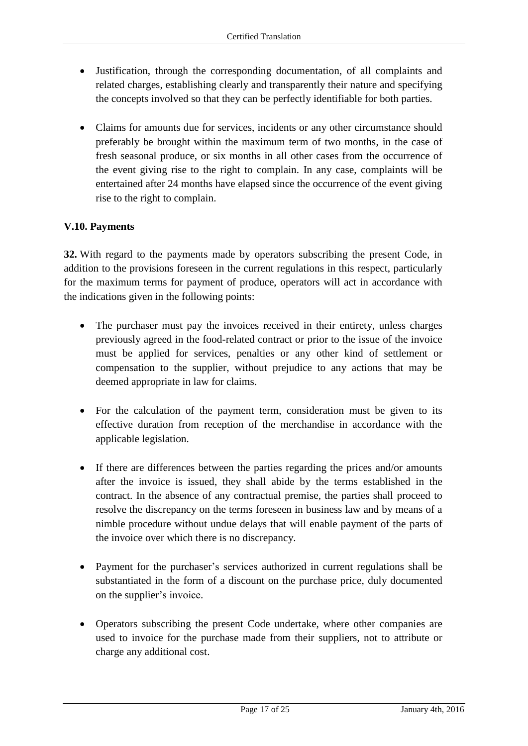- Justification, through the corresponding documentation, of all complaints and related charges, establishing clearly and transparently their nature and specifying the concepts involved so that they can be perfectly identifiable for both parties.
- Claims for amounts due for services, incidents or any other circumstance should preferably be brought within the maximum term of two months, in the case of fresh seasonal produce, or six months in all other cases from the occurrence of the event giving rise to the right to complain. In any case, complaints will be entertained after 24 months have elapsed since the occurrence of the event giving rise to the right to complain.

# **V.10. Payments**

**32.** With regard to the payments made by operators subscribing the present Code, in addition to the provisions foreseen in the current regulations in this respect, particularly for the maximum terms for payment of produce, operators will act in accordance with the indications given in the following points:

- The purchaser must pay the invoices received in their entirety, unless charges previously agreed in the food-related contract or prior to the issue of the invoice must be applied for services, penalties or any other kind of settlement or compensation to the supplier, without prejudice to any actions that may be deemed appropriate in law for claims.
- For the calculation of the payment term, consideration must be given to its effective duration from reception of the merchandise in accordance with the applicable legislation.
- If there are differences between the parties regarding the prices and/or amounts after the invoice is issued, they shall abide by the terms established in the contract. In the absence of any contractual premise, the parties shall proceed to resolve the discrepancy on the terms foreseen in business law and by means of a nimble procedure without undue delays that will enable payment of the parts of the invoice over which there is no discrepancy.
- Payment for the purchaser's services authorized in current regulations shall be substantiated in the form of a discount on the purchase price, duly documented on the supplier's invoice.
- Operators subscribing the present Code undertake, where other companies are used to invoice for the purchase made from their suppliers, not to attribute or charge any additional cost.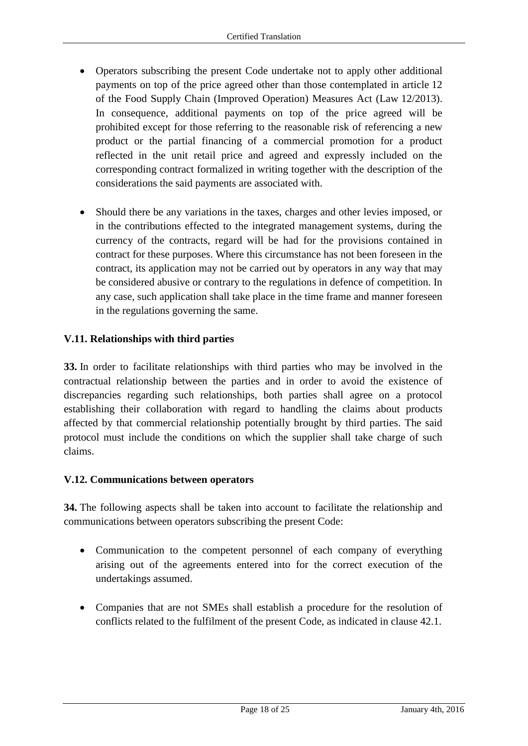- Operators subscribing the present Code undertake not to apply other additional payments on top of the price agreed other than those contemplated in article 12 of the Food Supply Chain (Improved Operation) Measures Act (Law 12/2013). In consequence, additional payments on top of the price agreed will be prohibited except for those referring to the reasonable risk of referencing a new product or the partial financing of a commercial promotion for a product reflected in the unit retail price and agreed and expressly included on the corresponding contract formalized in writing together with the description of the considerations the said payments are associated with.
- Should there be any variations in the taxes, charges and other levies imposed, or in the contributions effected to the integrated management systems, during the currency of the contracts, regard will be had for the provisions contained in contract for these purposes. Where this circumstance has not been foreseen in the contract, its application may not be carried out by operators in any way that may be considered abusive or contrary to the regulations in defence of competition. In any case, such application shall take place in the time frame and manner foreseen in the regulations governing the same.

### **V.11. Relationships with third parties**

**33.** In order to facilitate relationships with third parties who may be involved in the contractual relationship between the parties and in order to avoid the existence of discrepancies regarding such relationships, both parties shall agree on a protocol establishing their collaboration with regard to handling the claims about products affected by that commercial relationship potentially brought by third parties. The said protocol must include the conditions on which the supplier shall take charge of such claims.

### **V.12. Communications between operators**

**34.** The following aspects shall be taken into account to facilitate the relationship and communications between operators subscribing the present Code:

- Communication to the competent personnel of each company of everything arising out of the agreements entered into for the correct execution of the undertakings assumed.
- Companies that are not SMEs shall establish a procedure for the resolution of conflicts related to the fulfilment of the present Code, as indicated in clause 42.1.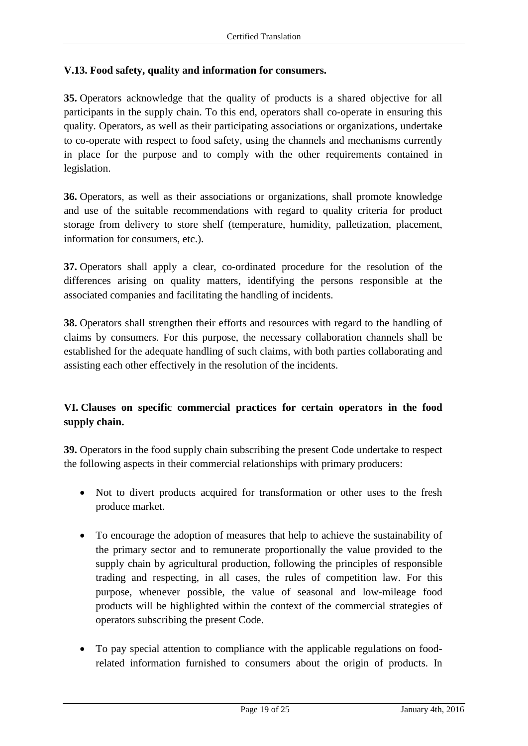### **V.13. Food safety, quality and information for consumers.**

**35.** Operators acknowledge that the quality of products is a shared objective for all participants in the supply chain. To this end, operators shall co-operate in ensuring this quality. Operators, as well as their participating associations or organizations, undertake to co-operate with respect to food safety, using the channels and mechanisms currently in place for the purpose and to comply with the other requirements contained in legislation.

**36.** Operators, as well as their associations or organizations, shall promote knowledge and use of the suitable recommendations with regard to quality criteria for product storage from delivery to store shelf (temperature, humidity, palletization, placement, information for consumers, etc.).

**37.** Operators shall apply a clear, co-ordinated procedure for the resolution of the differences arising on quality matters, identifying the persons responsible at the associated companies and facilitating the handling of incidents.

**38.** Operators shall strengthen their efforts and resources with regard to the handling of claims by consumers. For this purpose, the necessary collaboration channels shall be established for the adequate handling of such claims, with both parties collaborating and assisting each other effectively in the resolution of the incidents.

# **VI. Clauses on specific commercial practices for certain operators in the food supply chain.**

**39.** Operators in the food supply chain subscribing the present Code undertake to respect the following aspects in their commercial relationships with primary producers:

- Not to divert products acquired for transformation or other uses to the fresh produce market.
- To encourage the adoption of measures that help to achieve the sustainability of the primary sector and to remunerate proportionally the value provided to the supply chain by agricultural production, following the principles of responsible trading and respecting, in all cases, the rules of competition law. For this purpose, whenever possible, the value of seasonal and low-mileage food products will be highlighted within the context of the commercial strategies of operators subscribing the present Code.
- To pay special attention to compliance with the applicable regulations on foodrelated information furnished to consumers about the origin of products. In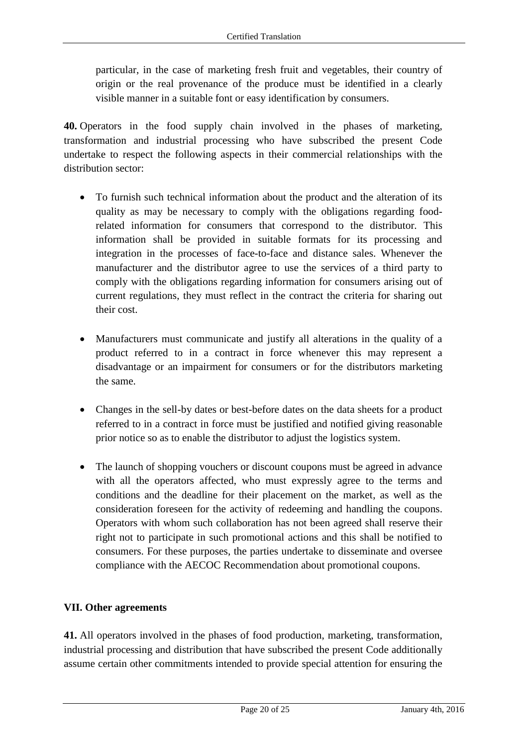particular, in the case of marketing fresh fruit and vegetables, their country of origin or the real provenance of the produce must be identified in a clearly visible manner in a suitable font or easy identification by consumers.

**40.** Operators in the food supply chain involved in the phases of marketing, transformation and industrial processing who have subscribed the present Code undertake to respect the following aspects in their commercial relationships with the distribution sector:

- To furnish such technical information about the product and the alteration of its quality as may be necessary to comply with the obligations regarding foodrelated information for consumers that correspond to the distributor. This information shall be provided in suitable formats for its processing and integration in the processes of face-to-face and distance sales. Whenever the manufacturer and the distributor agree to use the services of a third party to comply with the obligations regarding information for consumers arising out of current regulations, they must reflect in the contract the criteria for sharing out their cost.
- Manufacturers must communicate and justify all alterations in the quality of a product referred to in a contract in force whenever this may represent a disadvantage or an impairment for consumers or for the distributors marketing the same.
- Changes in the sell-by dates or best-before dates on the data sheets for a product referred to in a contract in force must be justified and notified giving reasonable prior notice so as to enable the distributor to adjust the logistics system.
- The launch of shopping vouchers or discount coupons must be agreed in advance with all the operators affected, who must expressly agree to the terms and conditions and the deadline for their placement on the market, as well as the consideration foreseen for the activity of redeeming and handling the coupons. Operators with whom such collaboration has not been agreed shall reserve their right not to participate in such promotional actions and this shall be notified to consumers. For these purposes, the parties undertake to disseminate and oversee compliance with the AECOC Recommendation about promotional coupons.

# **VII. Other agreements**

**41.** All operators involved in the phases of food production, marketing, transformation, industrial processing and distribution that have subscribed the present Code additionally assume certain other commitments intended to provide special attention for ensuring the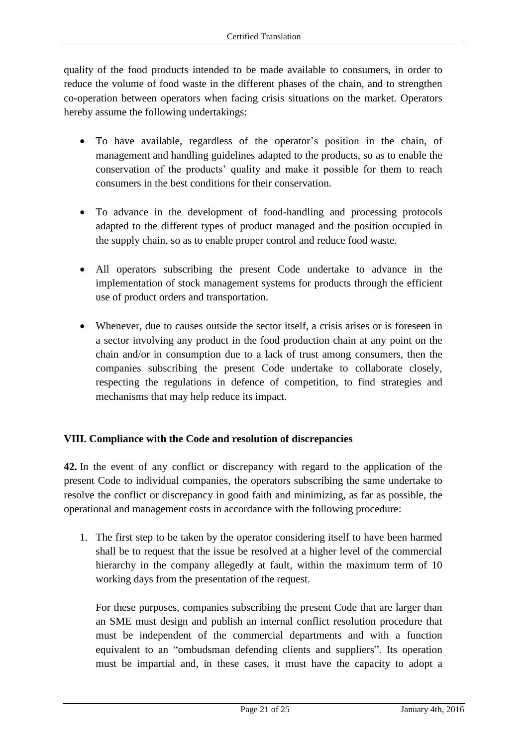quality of the food products intended to be made available to consumers, in order to reduce the volume of food waste in the different phases of the chain, and to strengthen co-operation between operators when facing crisis situations on the market. Operators hereby assume the following undertakings:

- To have available, regardless of the operator's position in the chain, of management and handling guidelines adapted to the products, so as to enable the conservation of the products' quality and make it possible for them to reach consumers in the best conditions for their conservation.
- To advance in the development of food-handling and processing protocols adapted to the different types of product managed and the position occupied in the supply chain, so as to enable proper control and reduce food waste.
- All operators subscribing the present Code undertake to advance in the implementation of stock management systems for products through the efficient use of product orders and transportation.
- Whenever, due to causes outside the sector itself, a crisis arises or is foreseen in a sector involving any product in the food production chain at any point on the chain and/or in consumption due to a lack of trust among consumers, then the companies subscribing the present Code undertake to collaborate closely, respecting the regulations in defence of competition, to find strategies and mechanisms that may help reduce its impact.

# **VIII. Compliance with the Code and resolution of discrepancies**

**42.** In the event of any conflict or discrepancy with regard to the application of the present Code to individual companies, the operators subscribing the same undertake to resolve the conflict or discrepancy in good faith and minimizing, as far as possible, the operational and management costs in accordance with the following procedure:

1. The first step to be taken by the operator considering itself to have been harmed shall be to request that the issue be resolved at a higher level of the commercial hierarchy in the company allegedly at fault, within the maximum term of 10 working days from the presentation of the request.

For these purposes, companies subscribing the present Code that are larger than an SME must design and publish an internal conflict resolution procedure that must be independent of the commercial departments and with a function equivalent to an "ombudsman defending clients and suppliers". Its operation must be impartial and, in these cases, it must have the capacity to adopt a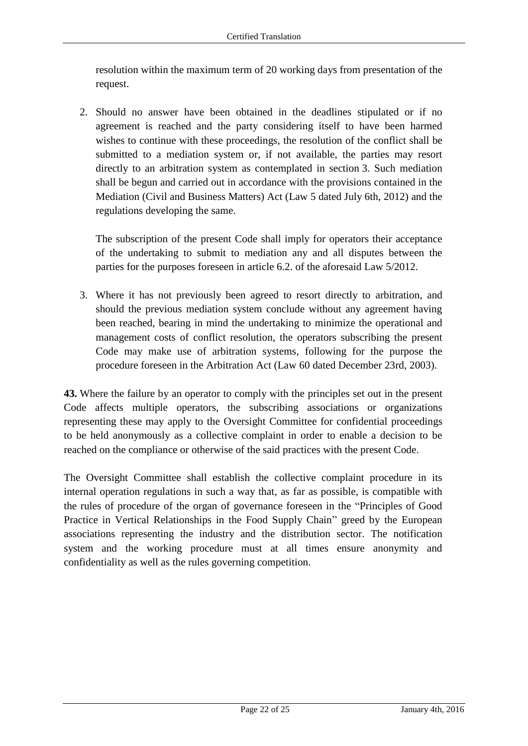resolution within the maximum term of 20 working days from presentation of the request.

2. Should no answer have been obtained in the deadlines stipulated or if no agreement is reached and the party considering itself to have been harmed wishes to continue with these proceedings, the resolution of the conflict shall be submitted to a mediation system or, if not available, the parties may resort directly to an arbitration system as contemplated in section 3. Such mediation shall be begun and carried out in accordance with the provisions contained in the Mediation (Civil and Business Matters) Act (Law 5 dated July 6th, 2012) and the regulations developing the same.

The subscription of the present Code shall imply for operators their acceptance of the undertaking to submit to mediation any and all disputes between the parties for the purposes foreseen in article 6.2. of the aforesaid Law 5/2012.

3. Where it has not previously been agreed to resort directly to arbitration, and should the previous mediation system conclude without any agreement having been reached, bearing in mind the undertaking to minimize the operational and management costs of conflict resolution, the operators subscribing the present Code may make use of arbitration systems, following for the purpose the procedure foreseen in the Arbitration Act (Law 60 dated December 23rd, 2003).

**43.** Where the failure by an operator to comply with the principles set out in the present Code affects multiple operators, the subscribing associations or organizations representing these may apply to the Oversight Committee for confidential proceedings to be held anonymously as a collective complaint in order to enable a decision to be reached on the compliance or otherwise of the said practices with the present Code.

The Oversight Committee shall establish the collective complaint procedure in its internal operation regulations in such a way that, as far as possible, is compatible with the rules of procedure of the organ of governance foreseen in the "Principles of Good Practice in Vertical Relationships in the Food Supply Chain" greed by the European associations representing the industry and the distribution sector. The notification system and the working procedure must at all times ensure anonymity and confidentiality as well as the rules governing competition.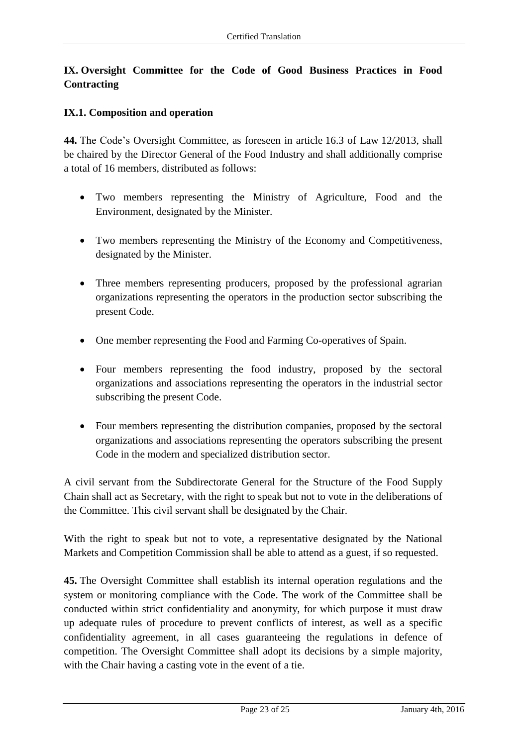# **IX. Oversight Committee for the Code of Good Business Practices in Food Contracting**

### **IX.1. Composition and operation**

**44.** The Code's Oversight Committee, as foreseen in article 16.3 of Law 12/2013, shall be chaired by the Director General of the Food Industry and shall additionally comprise a total of 16 members, distributed as follows:

- Two members representing the Ministry of Agriculture, Food and the Environment, designated by the Minister.
- Two members representing the Ministry of the Economy and Competitiveness, designated by the Minister.
- Three members representing producers, proposed by the professional agrarian organizations representing the operators in the production sector subscribing the present Code.
- One member representing the Food and Farming Co-operatives of Spain.
- Four members representing the food industry, proposed by the sectoral organizations and associations representing the operators in the industrial sector subscribing the present Code.
- Four members representing the distribution companies, proposed by the sectoral organizations and associations representing the operators subscribing the present Code in the modern and specialized distribution sector.

A civil servant from the Subdirectorate General for the Structure of the Food Supply Chain shall act as Secretary, with the right to speak but not to vote in the deliberations of the Committee. This civil servant shall be designated by the Chair.

With the right to speak but not to vote, a representative designated by the National Markets and Competition Commission shall be able to attend as a guest, if so requested.

**45.** The Oversight Committee shall establish its internal operation regulations and the system or monitoring compliance with the Code. The work of the Committee shall be conducted within strict confidentiality and anonymity, for which purpose it must draw up adequate rules of procedure to prevent conflicts of interest, as well as a specific confidentiality agreement, in all cases guaranteeing the regulations in defence of competition. The Oversight Committee shall adopt its decisions by a simple majority, with the Chair having a casting vote in the event of a tie.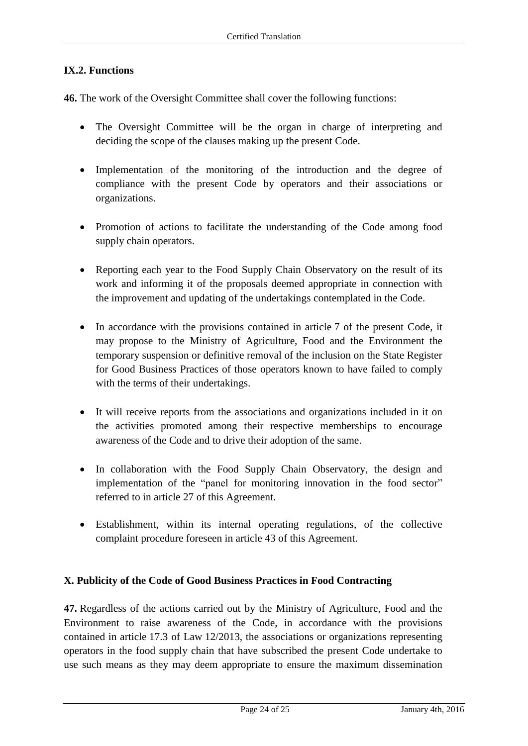### **IX.2. Functions**

**46.** The work of the Oversight Committee shall cover the following functions:

- The Oversight Committee will be the organ in charge of interpreting and deciding the scope of the clauses making up the present Code.
- Implementation of the monitoring of the introduction and the degree of compliance with the present Code by operators and their associations or organizations.
- Promotion of actions to facilitate the understanding of the Code among food supply chain operators.
- Reporting each year to the Food Supply Chain Observatory on the result of its work and informing it of the proposals deemed appropriate in connection with the improvement and updating of the undertakings contemplated in the Code.
- In accordance with the provisions contained in article 7 of the present Code, it may propose to the Ministry of Agriculture, Food and the Environment the temporary suspension or definitive removal of the inclusion on the State Register for Good Business Practices of those operators known to have failed to comply with the terms of their undertakings.
- It will receive reports from the associations and organizations included in it on the activities promoted among their respective memberships to encourage awareness of the Code and to drive their adoption of the same.
- In collaboration with the Food Supply Chain Observatory, the design and implementation of the "panel for monitoring innovation in the food sector" referred to in article 27 of this Agreement.
- Establishment, within its internal operating regulations, of the collective complaint procedure foreseen in article 43 of this Agreement.

### **X. Publicity of the Code of Good Business Practices in Food Contracting**

**47.** Regardless of the actions carried out by the Ministry of Agriculture, Food and the Environment to raise awareness of the Code, in accordance with the provisions contained in article 17.3 of Law 12/2013, the associations or organizations representing operators in the food supply chain that have subscribed the present Code undertake to use such means as they may deem appropriate to ensure the maximum dissemination